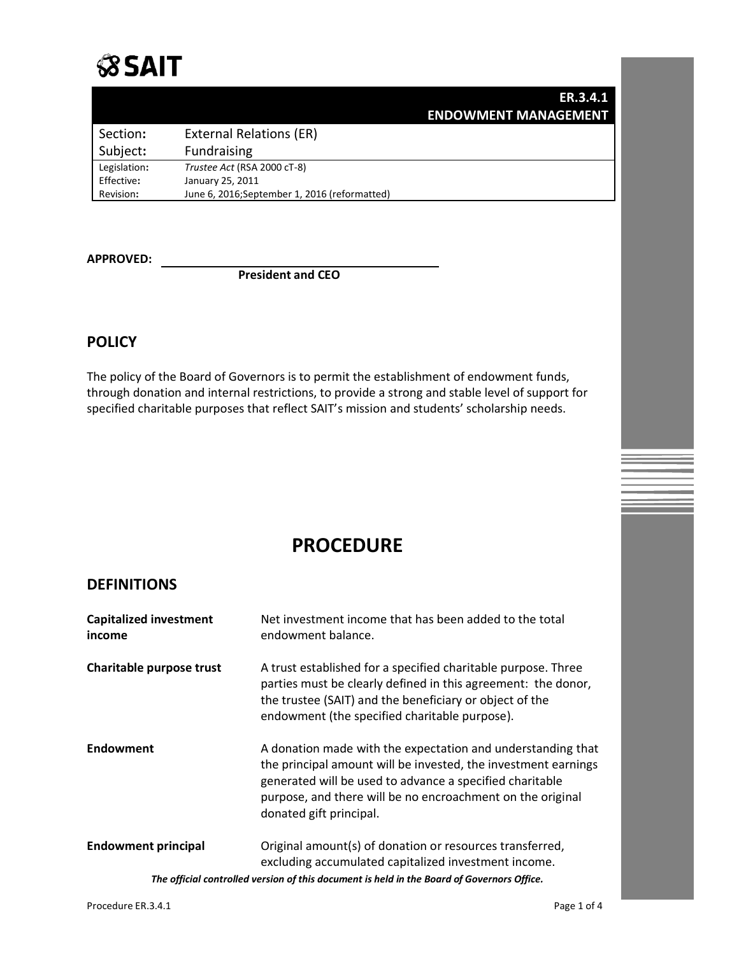

|              |                                               | ER.3.4.1 |
|--------------|-----------------------------------------------|----------|
|              | <b>ENDOWMENT MANAGEMENT</b>                   |          |
| Section:     | <b>External Relations (ER)</b>                |          |
| Subject:     | <b>Fundraising</b>                            |          |
| Legislation: | Trustee Act (RSA 2000 cT-8)                   |          |
| Effective:   | January 25, 2011                              |          |
| Revision:    | June 6, 2016; September 1, 2016 (reformatted) |          |

**APPROVED:**

**President and CEO**

# **POLICY**

The policy of the Board of Governors is to permit the establishment of endowment funds, through donation and internal restrictions, to provide a strong and stable level of support for specified charitable purposes that reflect SAIT's mission and students' scholarship needs.

# **PROCEDURE**

## **DEFINITIONS**

| <b>Capitalized investment</b><br>income | Net investment income that has been added to the total<br>endowment balance.                                                                                                                                                                                                       |
|-----------------------------------------|------------------------------------------------------------------------------------------------------------------------------------------------------------------------------------------------------------------------------------------------------------------------------------|
| Charitable purpose trust                | A trust established for a specified charitable purpose. Three<br>parties must be clearly defined in this agreement: the donor,<br>the trustee (SAIT) and the beneficiary or object of the<br>endowment (the specified charitable purpose).                                         |
| Endowment                               | A donation made with the expectation and understanding that<br>the principal amount will be invested, the investment earnings<br>generated will be used to advance a specified charitable<br>purpose, and there will be no encroachment on the original<br>donated gift principal. |
| <b>Endowment principal</b>              | Original amount(s) of donation or resources transferred,<br>excluding accumulated capitalized investment income.                                                                                                                                                                   |
|                                         | The official controlled version of this document is held in the Board of Governors Office.                                                                                                                                                                                         |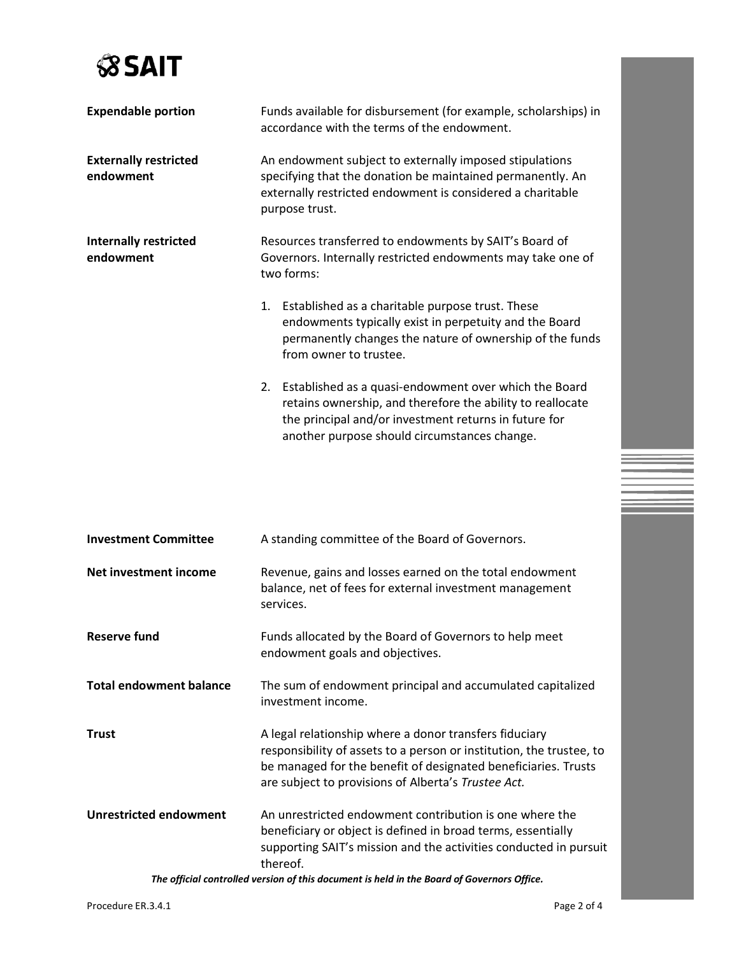

| <b>Expendable portion</b>                 | Funds available for disbursement (for example, scholarships) in<br>accordance with the terms of the endowment.                                                                                                                  |  |
|-------------------------------------------|---------------------------------------------------------------------------------------------------------------------------------------------------------------------------------------------------------------------------------|--|
| <b>Externally restricted</b><br>endowment | An endowment subject to externally imposed stipulations<br>specifying that the donation be maintained permanently. An<br>externally restricted endowment is considered a charitable<br>purpose trust.                           |  |
| <b>Internally restricted</b><br>endowment | Resources transferred to endowments by SAIT's Board of<br>Governors. Internally restricted endowments may take one of<br>two forms:                                                                                             |  |
|                                           | 1. Established as a charitable purpose trust. These<br>endowments typically exist in perpetuity and the Board<br>permanently changes the nature of ownership of the funds<br>from owner to trustee.                             |  |
|                                           | 2. Established as a quasi-endowment over which the Board<br>retains ownership, and therefore the ability to reallocate<br>the principal and/or investment returns in future for<br>another purpose should circumstances change. |  |

| <b>Investment Committee</b>    | A standing committee of the Board of Governors.                                                                                                                                                                                                         |  |
|--------------------------------|---------------------------------------------------------------------------------------------------------------------------------------------------------------------------------------------------------------------------------------------------------|--|
| Net investment income          | Revenue, gains and losses earned on the total endowment<br>balance, net of fees for external investment management<br>services.                                                                                                                         |  |
| <b>Reserve fund</b>            | Funds allocated by the Board of Governors to help meet<br>endowment goals and objectives.                                                                                                                                                               |  |
| <b>Total endowment balance</b> | The sum of endowment principal and accumulated capitalized<br>investment income.                                                                                                                                                                        |  |
| <b>Trust</b>                   | A legal relationship where a donor transfers fiduciary<br>responsibility of assets to a person or institution, the trustee, to<br>be managed for the benefit of designated beneficiaries. Trusts<br>are subject to provisions of Alberta's Trustee Act. |  |
| <b>Unrestricted endowment</b>  | An unrestricted endowment contribution is one where the<br>beneficiary or object is defined in broad terms, essentially<br>supporting SAIT's mission and the activities conducted in pursuit<br>thereof.                                                |  |
|                                | The official controlled version of this desument is hold in the Peard of Covernors Office                                                                                                                                                               |  |

*The official controlled version of this document is held in the Board of Governors Office.*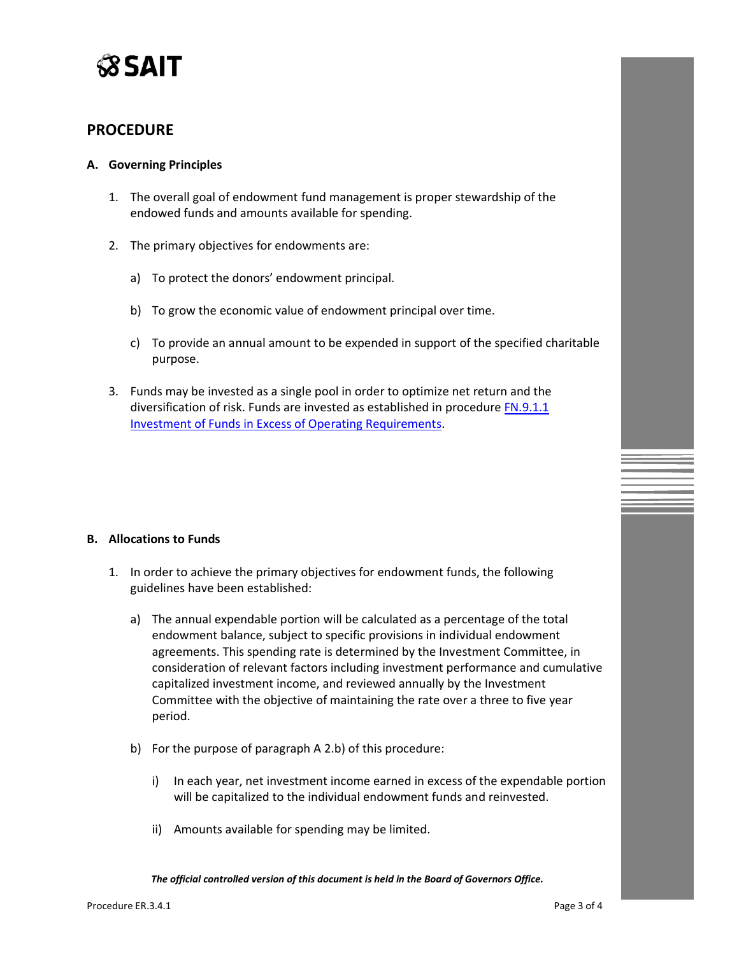

## **PROCEDURE**

### **A. Governing Principles**

- 1. The overall goal of endowment fund management is proper stewardship of the endowed funds and amounts available for spending.
- 2. The primary objectives for endowments are:
	- a) To protect the donors' endowment principal.
	- b) To grow the economic value of endowment principal over time.
	- c) To provide an annual amount to be expended in support of the specified charitable purpose.
- 3. Funds may be invested as a single pool in order to optimize net return and the diversification of risk. Funds are invested as established in procedure [FN.9.1.1](https://www.sait.ca/assets/documents/about-sait/policies-and-procedures/finance/fn-9-1-1-investment-of-funds.pdf)  Investment of Funds [in Excess of Operating Requirements.](https://www.sait.ca/assets/documents/about-sait/policies-and-procedures/finance/fn-9-1-1-investment-of-funds.pdf)

#### **B. Allocations to Funds**

- 1. In order to achieve the primary objectives for endowment funds, the following guidelines have been established:
	- a) The annual expendable portion will be calculated as a percentage of the total endowment balance, subject to specific provisions in individual endowment agreements. This spending rate is determined by the Investment Committee, in consideration of relevant factors including investment performance and cumulative capitalized investment income, and reviewed annually by the Investment Committee with the objective of maintaining the rate over a three to five year period.
	- b) For the purpose of paragraph A 2.b) of this procedure:
		- i) In each year, net investment income earned in excess of the expendable portion will be capitalized to the individual endowment funds and reinvested.
		- ii) Amounts available for spending may be limited.

*The official controlled version of this document is held in the Board of Governors Office.*